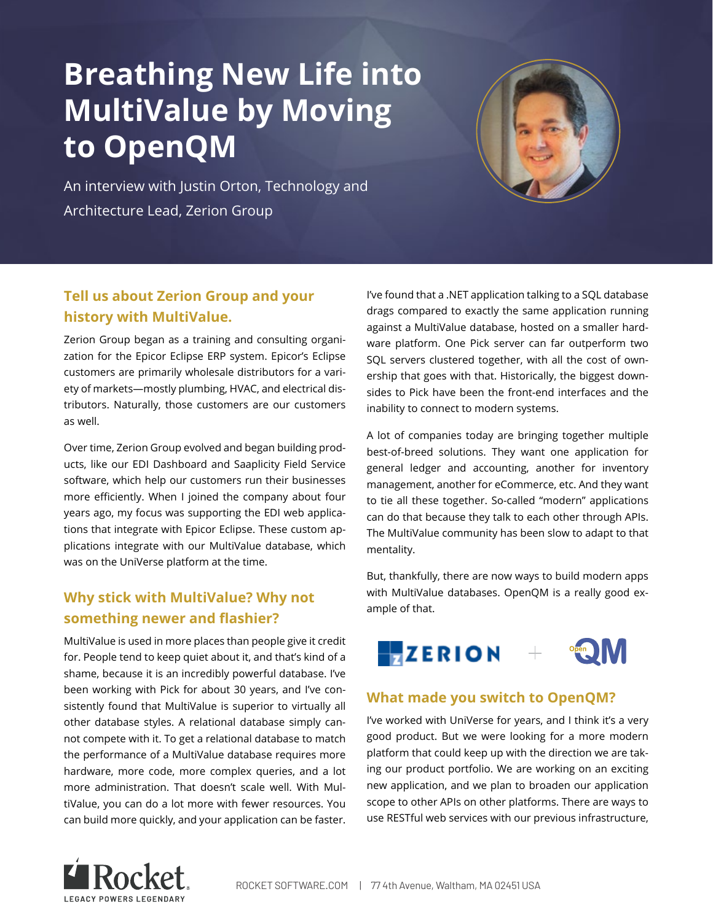# **Breathing New Life into MultiValue by Moving to OpenQM**

An interview with Justin Orton, Technology and Architecture Lead, Zerion Group

# **Tell us about Zerion Group and your history with MultiValue.**

Zerion Group began as a training and consulting organization for the Epicor Eclipse ERP system. Epicor's Eclipse customers are primarily wholesale distributors for a variety of markets—mostly plumbing, HVAC, and electrical distributors. Naturally, those customers are our customers as well.

Over time, Zerion Group evolved and began building products, like our EDI Dashboard and Saaplicity Field Service software, which help our customers run their businesses more efficiently. When I joined the company about four years ago, my focus was supporting the EDI web applications that integrate with Epicor Eclipse. These custom applications integrate with our MultiValue database, which was on the UniVerse platform at the time.

# **Why stick with MultiValue? Why not something newer and flashier?**

MultiValue is used in more places than people give it credit for. People tend to keep quiet about it, and that's kind of a shame, because it is an incredibly powerful database. I've been working with Pick for about 30 years, and I've consistently found that MultiValue is superior to virtually all other database styles. A relational database simply cannot compete with it. To get a relational database to match the performance of a MultiValue database requires more hardware, more code, more complex queries, and a lot more administration. That doesn't scale well. With MultiValue, you can do a lot more with fewer resources. You can build more quickly, and your application can be faster.

I've found that a .NET application talking to a SQL database drags compared to exactly the same application running against a MultiValue database, hosted on a smaller hardware platform. One Pick server can far outperform two SQL servers clustered together, with all the cost of ownership that goes with that. Historically, the biggest downsides to Pick have been the front-end interfaces and the inability to connect to modern systems.

A lot of companies today are bringing together multiple best-of-breed solutions. They want one application for general ledger and accounting, another for inventory management, another for eCommerce, etc. And they want to tie all these together. So-called "modern" applications can do that because they talk to each other through APIs. The MultiValue community has been slow to adapt to that mentality.

But, thankfully, there are now ways to build modern apps with MultiValue databases. OpenQM is a really good example of that.



#### **What made you switch to OpenQM?**

I've worked with UniVerse for years, and I think it's a very good product. But we were looking for a more modern platform that could keep up with the direction we are taking our product portfolio. We are working on an exciting new application, and we plan to broaden our application scope to other APIs on other platforms. There are ways to use RESTful web services with our previous infrastructure,

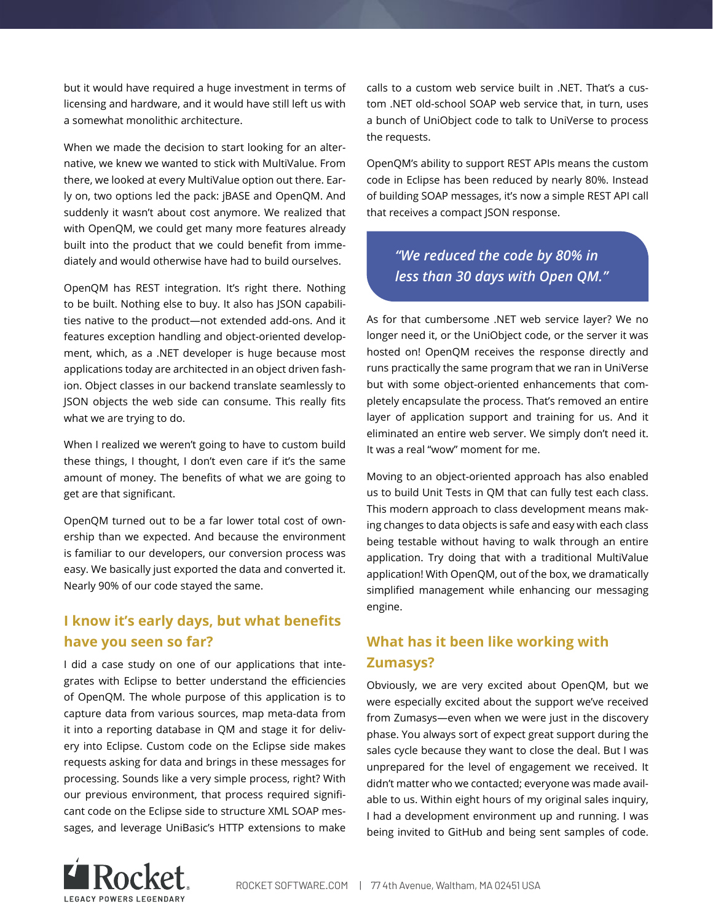but it would have required a huge investment in terms of licensing and hardware, and it would have still left us with a somewhat monolithic architecture.

When we made the decision to start looking for an alternative, we knew we wanted to stick with MultiValue. From there, we looked at every MultiValue option out there. Early on, two options led the pack: jBASE and OpenQM. And suddenly it wasn't about cost anymore. We realized that with OpenQM, we could get many more features already built into the product that we could benefit from immediately and would otherwise have had to build ourselves.

OpenQM has REST integration. It's right there. Nothing to be built. Nothing else to buy. It also has JSON capabilities native to the product—not extended add-ons. And it features exception handling and object-oriented development, which, as a .NET developer is huge because most applications today are architected in an object driven fashion. Object classes in our backend translate seamlessly to JSON objects the web side can consume. This really fits what we are trying to do.

When I realized we weren't going to have to custom build these things, I thought, I don't even care if it's the same amount of money. The benefits of what we are going to get are that significant.

OpenQM turned out to be a far lower total cost of ownership than we expected. And because the environment is familiar to our developers, our conversion process was easy. We basically just exported the data and converted it. Nearly 90% of our code stayed the same.

#### **I know it's early days, but what benefits have you seen so far?**

I did a case study on one of our applications that integrates with Eclipse to better understand the efficiencies of OpenQM. The whole purpose of this application is to capture data from various sources, map meta-data from it into a reporting database in QM and stage it for delivery into Eclipse. Custom code on the Eclipse side makes requests asking for data and brings in these messages for processing. Sounds like a very simple process, right? With our previous environment, that process required significant code on the Eclipse side to structure XML SOAP messages, and leverage UniBasic's HTTP extensions to make

calls to a custom web service built in .NET. That's a custom .NET old-school SOAP web service that, in turn, uses a bunch of UniObject code to talk to UniVerse to process the requests.

OpenQM's ability to support REST APIs means the custom code in Eclipse has been reduced by nearly 80%. Instead of building SOAP messages, it's now a simple REST API call that receives a compact JSON response.

# *"We reduced the code by 80% in less than 30 days with Open QM."*

As for that cumbersome .NET web service layer? We no longer need it, or the UniObject code, or the server it was hosted on! OpenQM receives the response directly and runs practically the same program that we ran in UniVerse but with some object-oriented enhancements that completely encapsulate the process. That's removed an entire layer of application support and training for us. And it eliminated an entire web server. We simply don't need it. It was a real "wow" moment for me.

Moving to an object-oriented approach has also enabled us to build Unit Tests in QM that can fully test each class. This modern approach to class development means making changes to data objects is safe and easy with each class being testable without having to walk through an entire application. Try doing that with a traditional MultiValue application! With OpenQM, out of the box, we dramatically simplified management while enhancing our messaging engine.

# **What has it been like working with Zumasys?**

Obviously, we are very excited about OpenQM, but we were especially excited about the support we've received from Zumasys—even when we were just in the discovery phase. You always sort of expect great support during the sales cycle because they want to close the deal. But I was unprepared for the level of engagement we received. It didn't matter who we contacted; everyone was made available to us. Within eight hours of my original sales inquiry, I had a development environment up and running. I was being invited to GitHub and being sent samples of code.